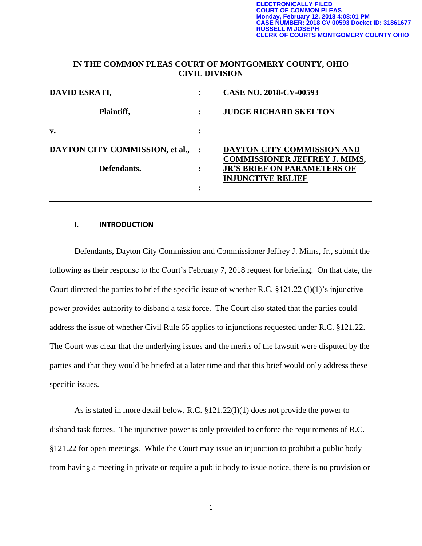### **IN THE COMMON PLEAS COURT OF MONTGOMERY COUNTY, OHIO CIVIL DIVISION**

| DAVID ESRATI,                     |           | <b>CASE NO. 2018-CV-00593</b>                                      |
|-----------------------------------|-----------|--------------------------------------------------------------------|
| Plaintiff,                        | $\bullet$ | <b>JUDGE RICHARD SKELTON</b>                                       |
| v.                                |           |                                                                    |
| DAYTON CITY COMMISSION, et al., : |           | DAYTON CITY COMMISSION AND<br><b>COMMISSIONER JEFFREY J. MIMS,</b> |
| Defendants.                       |           | <b>JR'S BRIEF ON PARAMETERS OF</b><br><b>INJUNCTIVE RELIEF</b>     |
|                                   | ٠         |                                                                    |

#### **I. INTRODUCTION**

Defendants, Dayton City Commission and Commissioner Jeffrey J. Mims, Jr., submit the following as their response to the Court's February 7, 2018 request for briefing. On that date, the Court directed the parties to brief the specific issue of whether R.C. §121.22 (I)(1)'s injunctive power provides authority to disband a task force. The Court also stated that the parties could address the issue of whether Civil Rule 65 applies to injunctions requested under R.C. §121.22. The Court was clear that the underlying issues and the merits of the lawsuit were disputed by the parties and that they would be briefed at a later time and that this brief would only address these specific issues.

As is stated in more detail below, R.C. §121.22(I)(1) does not provide the power to disband task forces. The injunctive power is only provided to enforce the requirements of R.C. §121.22 for open meetings. While the Court may issue an injunction to prohibit a public body from having a meeting in private or require a public body to issue notice, there is no provision or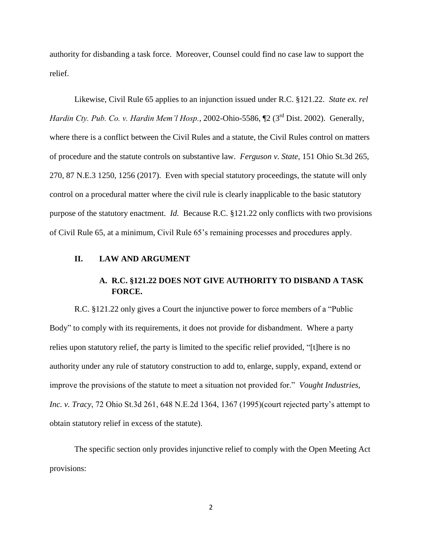authority for disbanding a task force. Moreover, Counsel could find no case law to support the relief.

Likewise, Civil Rule 65 applies to an injunction issued under R.C. §121.22. *State ex. rel Hardin Cty. Pub. Co. v. Hardin Mem'l Hosp.*, 2002-Ohio-5586, ¶2 (3<sup>rd</sup> Dist. 2002). Generally, where there is a conflict between the Civil Rules and a statute, the Civil Rules control on matters of procedure and the statute controls on substantive law. *Ferguson v. State*, 151 Ohio St.3d 265, 270, 87 N.E.3 1250, 1256 (2017). Even with special statutory proceedings, the statute will only control on a procedural matter where the civil rule is clearly inapplicable to the basic statutory purpose of the statutory enactment. *Id.* Because R.C. §121.22 only conflicts with two provisions of Civil Rule 65, at a minimum, Civil Rule 65's remaining processes and procedures apply.

#### **II. LAW AND ARGUMENT**

# **A. R.C. §121.22 DOES NOT GIVE AUTHORITY TO DISBAND A TASK FORCE.**

R.C. §121.22 only gives a Court the injunctive power to force members of a "Public Body" to comply with its requirements, it does not provide for disbandment. Where a party relies upon statutory relief, the party is limited to the specific relief provided, "[t]here is no authority under any rule of statutory construction to add to, enlarge, supply, expand, extend or improve the provisions of the statute to meet a situation not provided for." *Vought Industries, Inc. v. Tracy*, 72 Ohio St.3d 261, 648 N.E.2d 1364, 1367 (1995)(court rejected party's attempt to obtain statutory relief in excess of the statute).

The specific section only provides injunctive relief to comply with the Open Meeting Act provisions:

2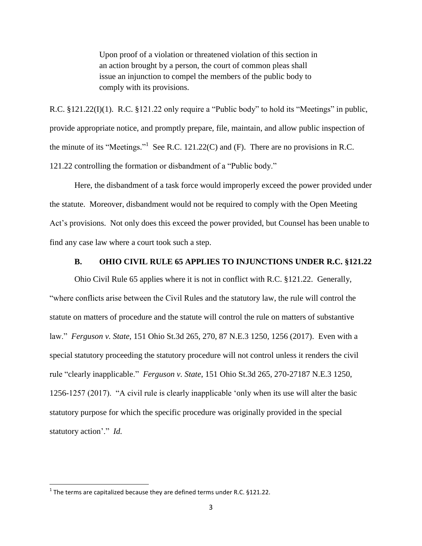Upon proof of a violation or threatened violation of this section in an action brought by a person, the court of common pleas shall issue an injunction to compel the members of the public body to comply with its provisions.

R.C. §121.22(I)(1). R.C. §121.22 only require a "Public body" to hold its "Meetings" in public, provide appropriate notice, and promptly prepare, file, maintain, and allow public inspection of the minute of its "Meetings."<sup>1</sup> See R.C. 121.22(C) and (F). There are no provisions in R.C. 121.22 controlling the formation or disbandment of a "Public body."

Here, the disbandment of a task force would improperly exceed the power provided under the statute. Moreover, disbandment would not be required to comply with the Open Meeting Act's provisions. Not only does this exceed the power provided, but Counsel has been unable to find any case law where a court took such a step.

### **B. OHIO CIVIL RULE 65 APPLIES TO INJUNCTIONS UNDER R.C. §121.22**

Ohio Civil Rule 65 applies where it is not in conflict with R.C. §121.22. Generally, "where conflicts arise between the Civil Rules and the statutory law, the rule will control the statute on matters of procedure and the statute will control the rule on matters of substantive law." *Ferguson v. State*, 151 Ohio St.3d 265, 270, 87 N.E.3 1250, 1256 (2017). Even with a special statutory proceeding the statutory procedure will not control unless it renders the civil rule "clearly inapplicable." *Ferguson v. State*, 151 Ohio St.3d 265, 270-27187 N.E.3 1250, 1256-1257 (2017). "A civil rule is clearly inapplicable 'only when its use will alter the basic statutory purpose for which the specific procedure was originally provided in the special statutory action'." *Id.* 

 $\overline{\phantom{a}}$ 

 $1$  The terms are capitalized because they are defined terms under R.C. §121.22.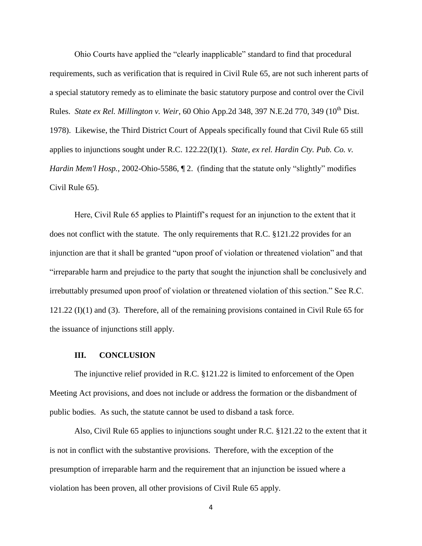Ohio Courts have applied the "clearly inapplicable" standard to find that procedural requirements, such as verification that is required in Civil Rule 65, are not such inherent parts of a special statutory remedy as to eliminate the basic statutory purpose and control over the Civil Rules. *State ex Rel. Millington v. Weir*, 60 Ohio App.2d 348, 397 N.E.2d 770, 349 (10<sup>th</sup> Dist. 1978). Likewise, the Third District Court of Appeals specifically found that Civil Rule 65 still applies to injunctions sought under R.C. 122.22(I)(1). *State, ex rel. Hardin Cty. Pub. Co. v. Hardin Mem'l Hosp.*, 2002-Ohio-5586,  $\sqrt{2}$ . (finding that the statute only "slightly" modifies Civil Rule 65).

Here, Civil Rule 65 applies to Plaintiff's request for an injunction to the extent that it does not conflict with the statute. The only requirements that R.C. §121.22 provides for an injunction are that it shall be granted "upon proof of violation or threatened violation" and that "irreparable harm and prejudice to the party that sought the injunction shall be conclusively and irrebuttably presumed upon proof of violation or threatened violation of this section." See R.C. 121.22 (I)(1) and (3). Therefore, all of the remaining provisions contained in Civil Rule 65 for the issuance of injunctions still apply.

#### **III. CONCLUSION**

The injunctive relief provided in R.C. §121.22 is limited to enforcement of the Open Meeting Act provisions, and does not include or address the formation or the disbandment of public bodies. As such, the statute cannot be used to disband a task force.

Also, Civil Rule 65 applies to injunctions sought under R.C. §121.22 to the extent that it is not in conflict with the substantive provisions. Therefore, with the exception of the presumption of irreparable harm and the requirement that an injunction be issued where a violation has been proven, all other provisions of Civil Rule 65 apply.

4